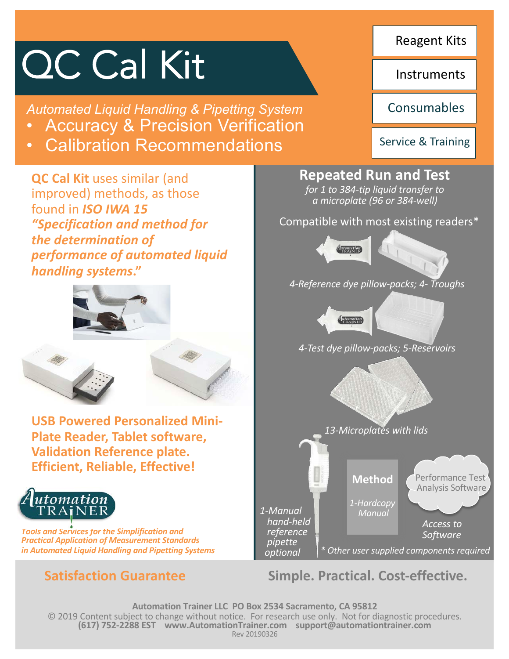# QC Cal Kit

*Automated Liquid Handling & Pipetting System* 

- Accuracy & Precision Verification
- Calibration Recommendations

**QC Cal Kit** uses similar (and improved) methods, as those found in *ISO IWA 15 "Specification and method for the determination of performance of automated liquid handling systems***."**





**USB Powered Personalized Mini-Plate Reader, Tablet software, Validation Reference plate. Efficient, Reliable, Effective!**



*Tools and Services for the Simplification and Practical Application of Measurement Standards in Automated Liquid Handling and Pipetting Systems*

Reagent Kits

**Instruments** 

**Consumables** 

Service & Training

# **Repeated Run and Test**

*for 1 to 384-tip liquid transfer to a microplate (96 or 384-well)*

Compatible with most existing readers\*



*4-Reference dye pillow-packs; 4- Troughs*

Automation

*4-Test dye pillow-packs; 5-Reservoirs*

*13-Microplates with lids*

**Method** *1-Hardcopy Manual* Performance Test Analysis Software

*\* Other user supplied components required*

*Access to Software*

**Satisfaction Guarantee Simple. Practical. Cost-effective.** 

**Automation Trainer LLC PO Box 2534 Sacramento, CA 95812** © 2019 Content subject to change without notice. For research use only. Not for diagnostic procedures. **(617) 752-2288 EST www.AutomationTrainer.com support@automationtrainer.com** Rev 20190326

*1-Manual hand-held reference pipette optional*